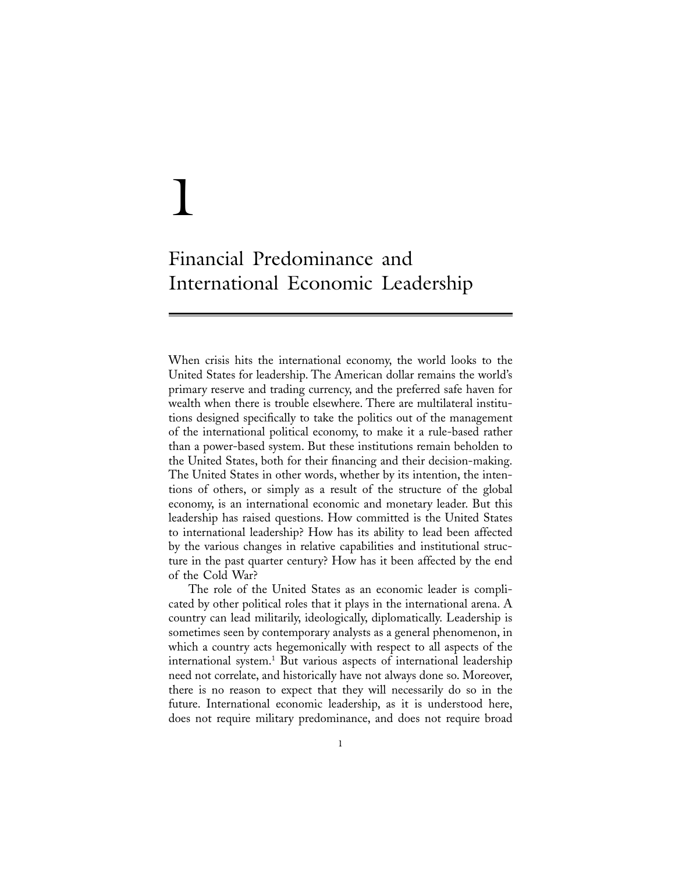# 1

## Financial Predominance and International Economic Leadership

When crisis hits the international economy, the world looks to the United States for leadership. The American dollar remains the world's primary reserve and trading currency, and the preferred safe haven for wealth when there is trouble elsewhere. There are multilateral institutions designed specifically to take the politics out of the management of the international political economy, to make it a rule-based rather than a power-based system. But these institutions remain beholden to the United States, both for their financing and their decision-making. The United States in other words, whether by its intention, the intentions of others, or simply as a result of the structure of the global economy, is an international economic and monetary leader. But this leadership has raised questions. How committed is the United States to international leadership? How has its ability to lead been affected by the various changes in relative capabilities and institutional structure in the past quarter century? How has it been affected by the end of the Cold War?

The role of the United States as an economic leader is complicated by other political roles that it plays in the international arena. A country can lead militarily, ideologically, diplomatically. Leadership is sometimes seen by contemporary analysts as a general phenomenon, in which a country acts hegemonically with respect to all aspects of the international system.<sup>1</sup> But various aspects of international leadership need not correlate, and historically have not always done so. Moreover, there is no reason to expect that they will necessarily do so in the future. International economic leadership, as it is understood here, does not require military predominance, and does not require broad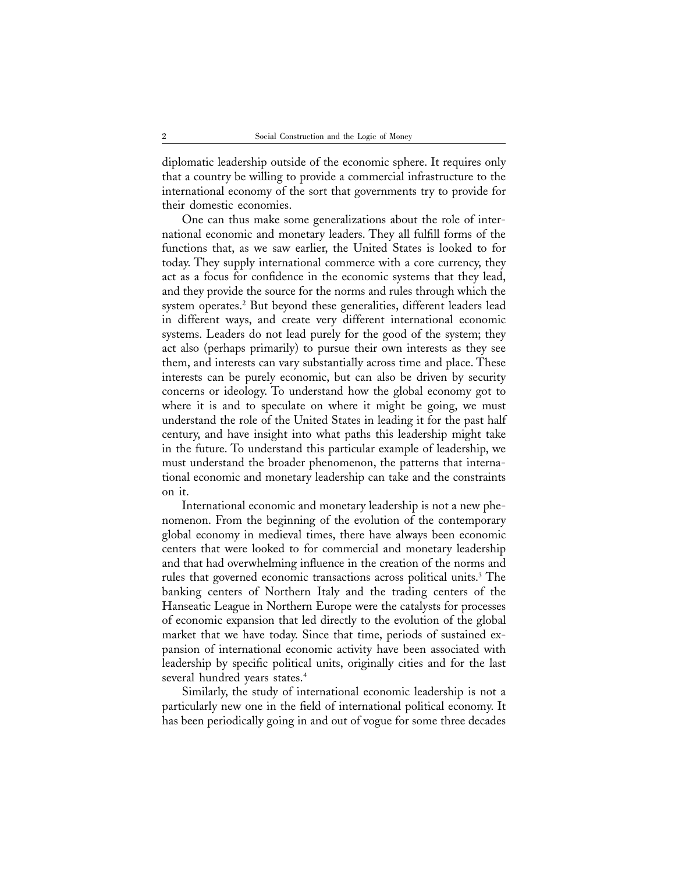diplomatic leadership outside of the economic sphere. It requires only that a country be willing to provide a commercial infrastructure to the international economy of the sort that governments try to provide for their domestic economies.

One can thus make some generalizations about the role of international economic and monetary leaders. They all fulfill forms of the functions that, as we saw earlier, the United States is looked to for today. They supply international commerce with a core currency, they act as a focus for confidence in the economic systems that they lead, and they provide the source for the norms and rules through which the system operates.<sup>2</sup> But beyond these generalities, different leaders lead in different ways, and create very different international economic systems. Leaders do not lead purely for the good of the system; they act also (perhaps primarily) to pursue their own interests as they see them, and interests can vary substantially across time and place. These interests can be purely economic, but can also be driven by security concerns or ideology. To understand how the global economy got to where it is and to speculate on where it might be going, we must understand the role of the United States in leading it for the past half century, and have insight into what paths this leadership might take in the future. To understand this particular example of leadership, we must understand the broader phenomenon, the patterns that international economic and monetary leadership can take and the constraints on it.

International economic and monetary leadership is not a new phenomenon. From the beginning of the evolution of the contemporary global economy in medieval times, there have always been economic centers that were looked to for commercial and monetary leadership and that had overwhelming influence in the creation of the norms and rules that governed economic transactions across political units.<sup>3</sup> The banking centers of Northern Italy and the trading centers of the Hanseatic League in Northern Europe were the catalysts for processes of economic expansion that led directly to the evolution of the global market that we have today. Since that time, periods of sustained expansion of international economic activity have been associated with leadership by specific political units, originally cities and for the last several hundred years states.<sup>4</sup>

Similarly, the study of international economic leadership is not a particularly new one in the field of international political economy. It has been periodically going in and out of vogue for some three decades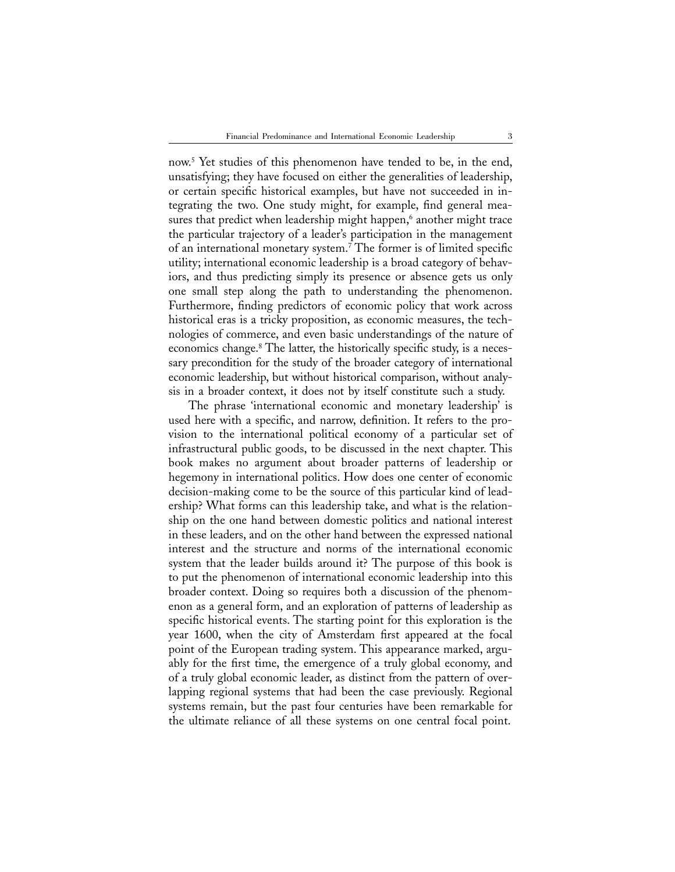now.5 Yet studies of this phenomenon have tended to be, in the end, unsatisfying; they have focused on either the generalities of leadership, or certain specific historical examples, but have not succeeded in integrating the two. One study might, for example, find general measures that predict when leadership might happen,<sup>6</sup> another might trace the particular trajectory of a leader's participation in the management of an international monetary system.7 The former is of limited specific utility; international economic leadership is a broad category of behaviors, and thus predicting simply its presence or absence gets us only one small step along the path to understanding the phenomenon. Furthermore, finding predictors of economic policy that work across historical eras is a tricky proposition, as economic measures, the technologies of commerce, and even basic understandings of the nature of economics change.8 The latter, the historically specific study, is a necessary precondition for the study of the broader category of international economic leadership, but without historical comparison, without analysis in a broader context, it does not by itself constitute such a study.

The phrase 'international economic and monetary leadership' is used here with a specific, and narrow, definition. It refers to the provision to the international political economy of a particular set of infrastructural public goods, to be discussed in the next chapter. This book makes no argument about broader patterns of leadership or hegemony in international politics. How does one center of economic decision-making come to be the source of this particular kind of leadership? What forms can this leadership take, and what is the relationship on the one hand between domestic politics and national interest in these leaders, and on the other hand between the expressed national interest and the structure and norms of the international economic system that the leader builds around it? The purpose of this book is to put the phenomenon of international economic leadership into this broader context. Doing so requires both a discussion of the phenomenon as a general form, and an exploration of patterns of leadership as specific historical events. The starting point for this exploration is the year 1600, when the city of Amsterdam first appeared at the focal point of the European trading system. This appearance marked, arguably for the first time, the emergence of a truly global economy, and of a truly global economic leader, as distinct from the pattern of overlapping regional systems that had been the case previously. Regional systems remain, but the past four centuries have been remarkable for the ultimate reliance of all these systems on one central focal point.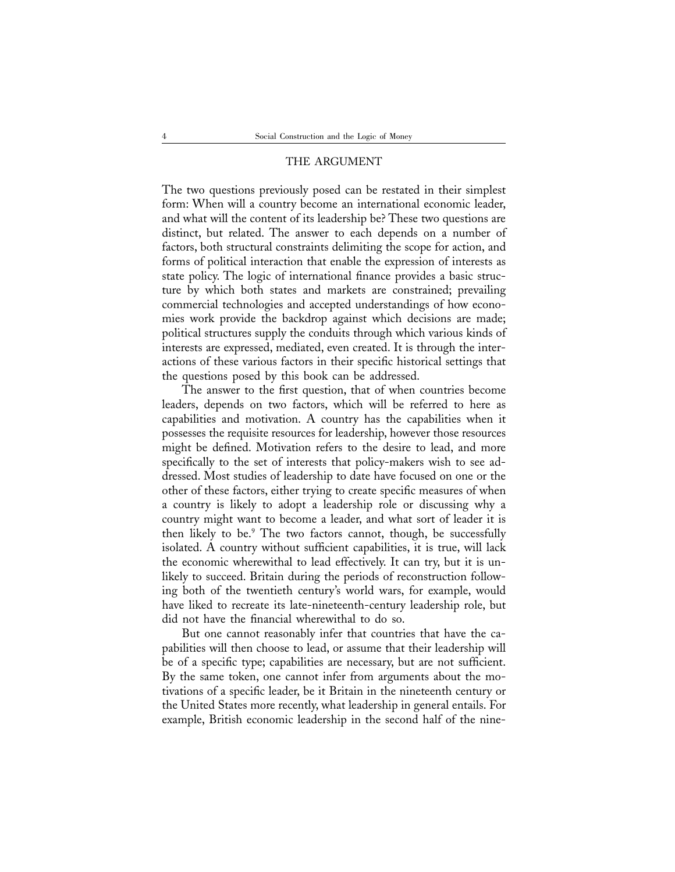#### THE ARGUMENT

The two questions previously posed can be restated in their simplest form: When will a country become an international economic leader, and what will the content of its leadership be? These two questions are distinct, but related. The answer to each depends on a number of factors, both structural constraints delimiting the scope for action, and forms of political interaction that enable the expression of interests as state policy. The logic of international finance provides a basic structure by which both states and markets are constrained; prevailing commercial technologies and accepted understandings of how economies work provide the backdrop against which decisions are made; political structures supply the conduits through which various kinds of interests are expressed, mediated, even created. It is through the interactions of these various factors in their specific historical settings that the questions posed by this book can be addressed.

The answer to the first question, that of when countries become leaders, depends on two factors, which will be referred to here as capabilities and motivation. A country has the capabilities when it possesses the requisite resources for leadership, however those resources might be defined. Motivation refers to the desire to lead, and more specifically to the set of interests that policy-makers wish to see addressed. Most studies of leadership to date have focused on one or the other of these factors, either trying to create specific measures of when a country is likely to adopt a leadership role or discussing why a country might want to become a leader, and what sort of leader it is then likely to be.<sup>9</sup> The two factors cannot, though, be successfully isolated. A country without sufficient capabilities, it is true, will lack the economic wherewithal to lead effectively. It can try, but it is unlikely to succeed. Britain during the periods of reconstruction following both of the twentieth century's world wars, for example, would have liked to recreate its late-nineteenth-century leadership role, but did not have the financial wherewithal to do so.

But one cannot reasonably infer that countries that have the capabilities will then choose to lead, or assume that their leadership will be of a specific type; capabilities are necessary, but are not sufficient. By the same token, one cannot infer from arguments about the motivations of a specific leader, be it Britain in the nineteenth century or the United States more recently, what leadership in general entails. For example, British economic leadership in the second half of the nine-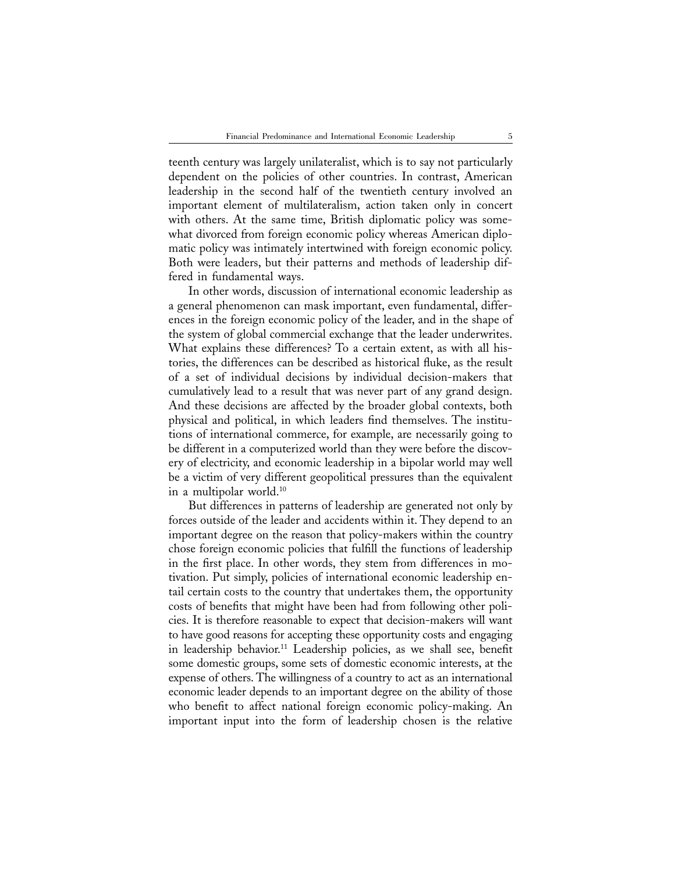teenth century was largely unilateralist, which is to say not particularly dependent on the policies of other countries. In contrast, American leadership in the second half of the twentieth century involved an important element of multilateralism, action taken only in concert with others. At the same time, British diplomatic policy was somewhat divorced from foreign economic policy whereas American diplomatic policy was intimately intertwined with foreign economic policy. Both were leaders, but their patterns and methods of leadership differed in fundamental ways.

In other words, discussion of international economic leadership as a general phenomenon can mask important, even fundamental, differences in the foreign economic policy of the leader, and in the shape of the system of global commercial exchange that the leader underwrites. What explains these differences? To a certain extent, as with all histories, the differences can be described as historical fluke, as the result of a set of individual decisions by individual decision-makers that cumulatively lead to a result that was never part of any grand design. And these decisions are affected by the broader global contexts, both physical and political, in which leaders find themselves. The institutions of international commerce, for example, are necessarily going to be different in a computerized world than they were before the discovery of electricity, and economic leadership in a bipolar world may well be a victim of very different geopolitical pressures than the equivalent in a multipolar world.<sup>10</sup>

But differences in patterns of leadership are generated not only by forces outside of the leader and accidents within it. They depend to an important degree on the reason that policy-makers within the country chose foreign economic policies that fulfill the functions of leadership in the first place. In other words, they stem from differences in motivation. Put simply, policies of international economic leadership entail certain costs to the country that undertakes them, the opportunity costs of benefits that might have been had from following other policies. It is therefore reasonable to expect that decision-makers will want to have good reasons for accepting these opportunity costs and engaging in leadership behavior.<sup>11</sup> Leadership policies, as we shall see, benefit some domestic groups, some sets of domestic economic interests, at the expense of others. The willingness of a country to act as an international economic leader depends to an important degree on the ability of those who benefit to affect national foreign economic policy-making. An important input into the form of leadership chosen is the relative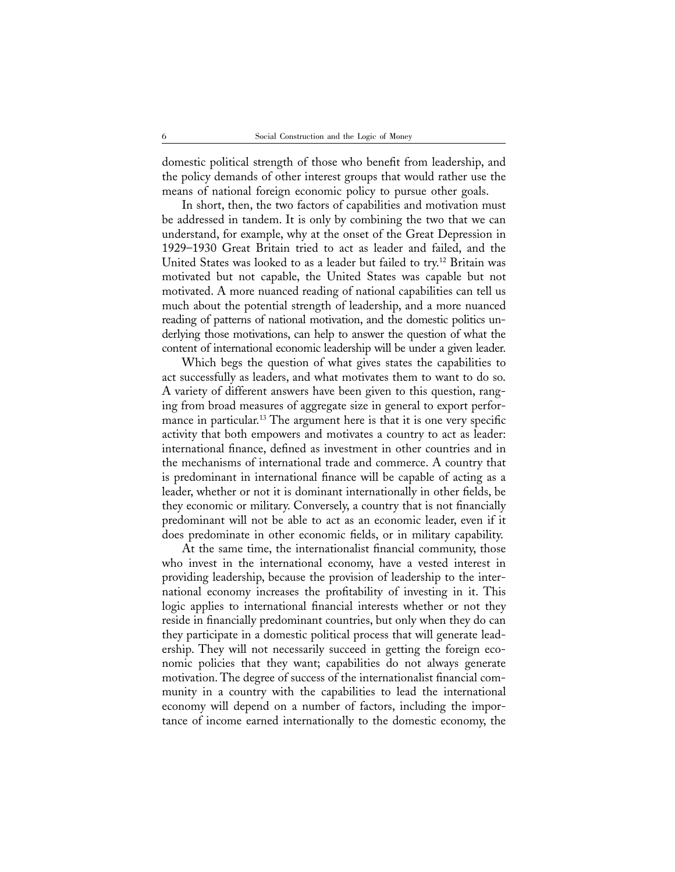domestic political strength of those who benefit from leadership, and the policy demands of other interest groups that would rather use the means of national foreign economic policy to pursue other goals.

In short, then, the two factors of capabilities and motivation must be addressed in tandem. It is only by combining the two that we can understand, for example, why at the onset of the Great Depression in 1929–1930 Great Britain tried to act as leader and failed, and the United States was looked to as a leader but failed to try.12 Britain was motivated but not capable, the United States was capable but not motivated. A more nuanced reading of national capabilities can tell us much about the potential strength of leadership, and a more nuanced reading of patterns of national motivation, and the domestic politics underlying those motivations, can help to answer the question of what the content of international economic leadership will be under a given leader.

Which begs the question of what gives states the capabilities to act successfully as leaders, and what motivates them to want to do so. A variety of different answers have been given to this question, ranging from broad measures of aggregate size in general to export performance in particular.<sup>13</sup> The argument here is that it is one very specific activity that both empowers and motivates a country to act as leader: international finance, defined as investment in other countries and in the mechanisms of international trade and commerce. A country that is predominant in international finance will be capable of acting as a leader, whether or not it is dominant internationally in other fields, be they economic or military. Conversely, a country that is not financially predominant will not be able to act as an economic leader, even if it does predominate in other economic fields, or in military capability.

At the same time, the internationalist financial community, those who invest in the international economy, have a vested interest in providing leadership, because the provision of leadership to the international economy increases the profitability of investing in it. This logic applies to international financial interests whether or not they reside in financially predominant countries, but only when they do can they participate in a domestic political process that will generate leadership. They will not necessarily succeed in getting the foreign economic policies that they want; capabilities do not always generate motivation. The degree of success of the internationalist financial community in a country with the capabilities to lead the international economy will depend on a number of factors, including the importance of income earned internationally to the domestic economy, the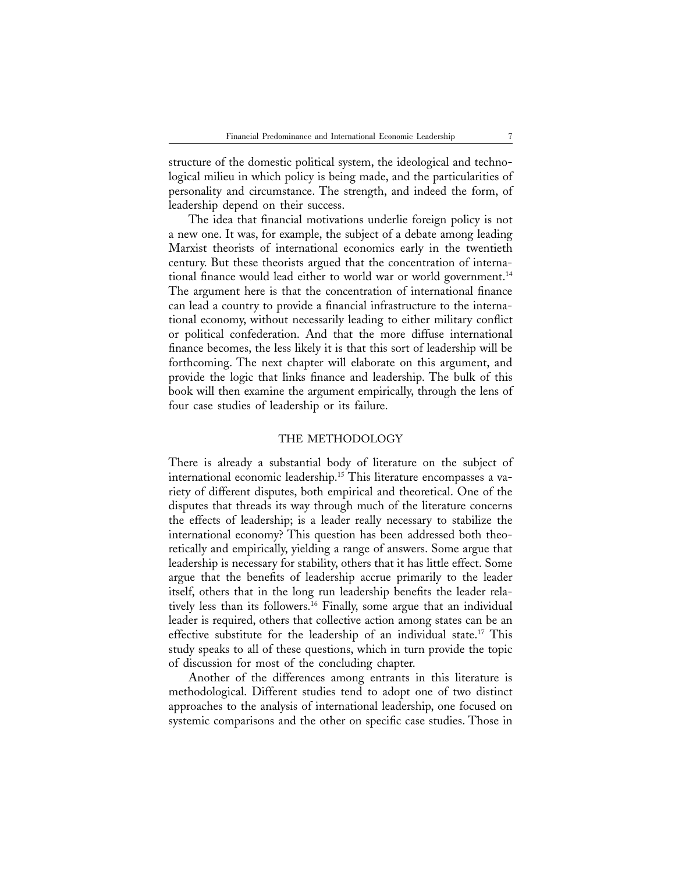structure of the domestic political system, the ideological and technological milieu in which policy is being made, and the particularities of personality and circumstance. The strength, and indeed the form, of leadership depend on their success.

The idea that financial motivations underlie foreign policy is not a new one. It was, for example, the subject of a debate among leading Marxist theorists of international economics early in the twentieth century. But these theorists argued that the concentration of international finance would lead either to world war or world government.<sup>14</sup> The argument here is that the concentration of international finance can lead a country to provide a financial infrastructure to the international economy, without necessarily leading to either military conflict or political confederation. And that the more diffuse international finance becomes, the less likely it is that this sort of leadership will be forthcoming. The next chapter will elaborate on this argument, and provide the logic that links finance and leadership. The bulk of this book will then examine the argument empirically, through the lens of four case studies of leadership or its failure.

### THE METHODOLOGY

There is already a substantial body of literature on the subject of international economic leadership.15 This literature encompasses a variety of different disputes, both empirical and theoretical. One of the disputes that threads its way through much of the literature concerns the effects of leadership; is a leader really necessary to stabilize the international economy? This question has been addressed both theoretically and empirically, yielding a range of answers. Some argue that leadership is necessary for stability, others that it has little effect. Some argue that the benefits of leadership accrue primarily to the leader itself, others that in the long run leadership benefits the leader relatively less than its followers.16 Finally, some argue that an individual leader is required, others that collective action among states can be an effective substitute for the leadership of an individual state.17 This study speaks to all of these questions, which in turn provide the topic of discussion for most of the concluding chapter.

Another of the differences among entrants in this literature is methodological. Different studies tend to adopt one of two distinct approaches to the analysis of international leadership, one focused on systemic comparisons and the other on specific case studies. Those in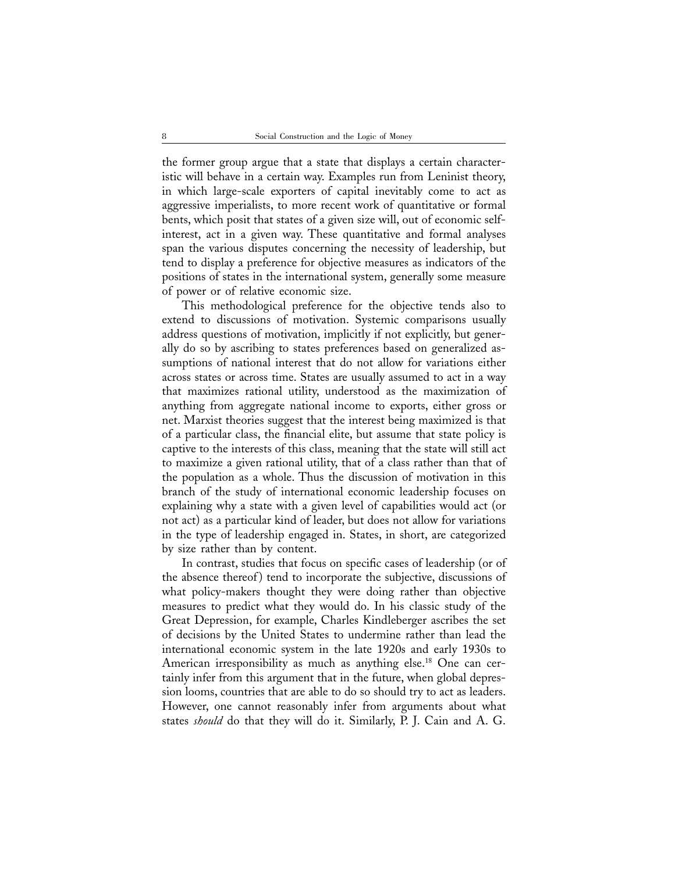the former group argue that a state that displays a certain characteristic will behave in a certain way. Examples run from Leninist theory, in which large-scale exporters of capital inevitably come to act as aggressive imperialists, to more recent work of quantitative or formal bents, which posit that states of a given size will, out of economic selfinterest, act in a given way. These quantitative and formal analyses span the various disputes concerning the necessity of leadership, but tend to display a preference for objective measures as indicators of the positions of states in the international system, generally some measure of power or of relative economic size.

This methodological preference for the objective tends also to extend to discussions of motivation. Systemic comparisons usually address questions of motivation, implicitly if not explicitly, but generally do so by ascribing to states preferences based on generalized assumptions of national interest that do not allow for variations either across states or across time. States are usually assumed to act in a way that maximizes rational utility, understood as the maximization of anything from aggregate national income to exports, either gross or net. Marxist theories suggest that the interest being maximized is that of a particular class, the financial elite, but assume that state policy is captive to the interests of this class, meaning that the state will still act to maximize a given rational utility, that of a class rather than that of the population as a whole. Thus the discussion of motivation in this branch of the study of international economic leadership focuses on explaining why a state with a given level of capabilities would act (or not act) as a particular kind of leader, but does not allow for variations in the type of leadership engaged in. States, in short, are categorized by size rather than by content.

In contrast, studies that focus on specific cases of leadership (or of the absence thereof) tend to incorporate the subjective, discussions of what policy-makers thought they were doing rather than objective measures to predict what they would do. In his classic study of the Great Depression, for example, Charles Kindleberger ascribes the set of decisions by the United States to undermine rather than lead the international economic system in the late 1920s and early 1930s to American irresponsibility as much as anything else.<sup>18</sup> One can certainly infer from this argument that in the future, when global depression looms, countries that are able to do so should try to act as leaders. However, one cannot reasonably infer from arguments about what states *should* do that they will do it. Similarly, P. J. Cain and A. G.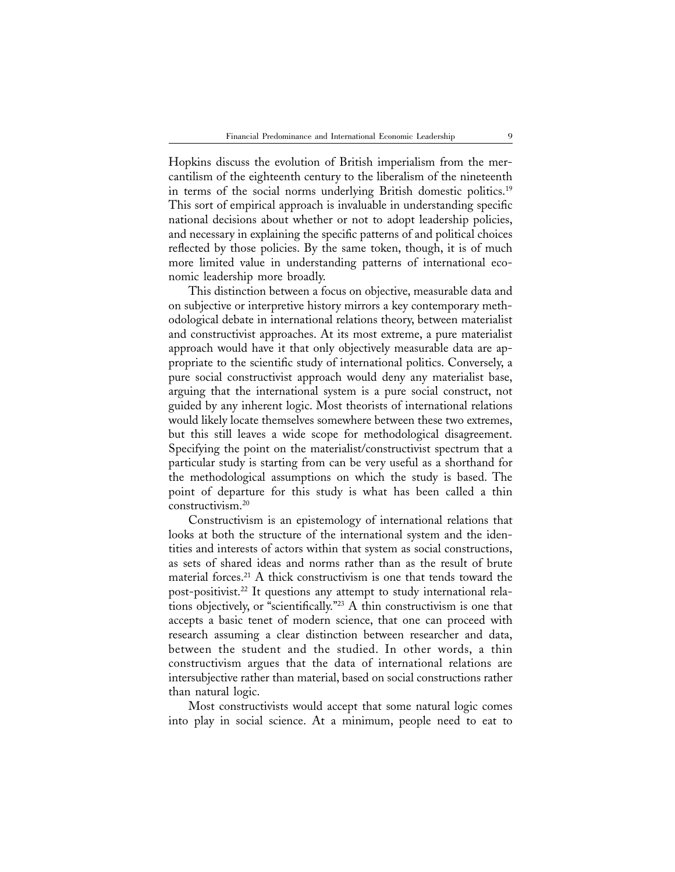Hopkins discuss the evolution of British imperialism from the mercantilism of the eighteenth century to the liberalism of the nineteenth in terms of the social norms underlying British domestic politics.<sup>19</sup> This sort of empirical approach is invaluable in understanding specific national decisions about whether or not to adopt leadership policies, and necessary in explaining the specific patterns of and political choices reflected by those policies. By the same token, though, it is of much more limited value in understanding patterns of international economic leadership more broadly.

This distinction between a focus on objective, measurable data and on subjective or interpretive history mirrors a key contemporary methodological debate in international relations theory, between materialist and constructivist approaches. At its most extreme, a pure materialist approach would have it that only objectively measurable data are appropriate to the scientific study of international politics. Conversely, a pure social constructivist approach would deny any materialist base, arguing that the international system is a pure social construct, not guided by any inherent logic. Most theorists of international relations would likely locate themselves somewhere between these two extremes, but this still leaves a wide scope for methodological disagreement. Specifying the point on the materialist/constructivist spectrum that a particular study is starting from can be very useful as a shorthand for the methodological assumptions on which the study is based. The point of departure for this study is what has been called a thin constructivism.20

Constructivism is an epistemology of international relations that looks at both the structure of the international system and the identities and interests of actors within that system as social constructions, as sets of shared ideas and norms rather than as the result of brute material forces.<sup>21</sup> A thick constructivism is one that tends toward the post-positivist.22 It questions any attempt to study international relations objectively, or "scientifically."23 A thin constructivism is one that accepts a basic tenet of modern science, that one can proceed with research assuming a clear distinction between researcher and data, between the student and the studied. In other words, a thin constructivism argues that the data of international relations are intersubjective rather than material, based on social constructions rather than natural logic.

Most constructivists would accept that some natural logic comes into play in social science. At a minimum, people need to eat to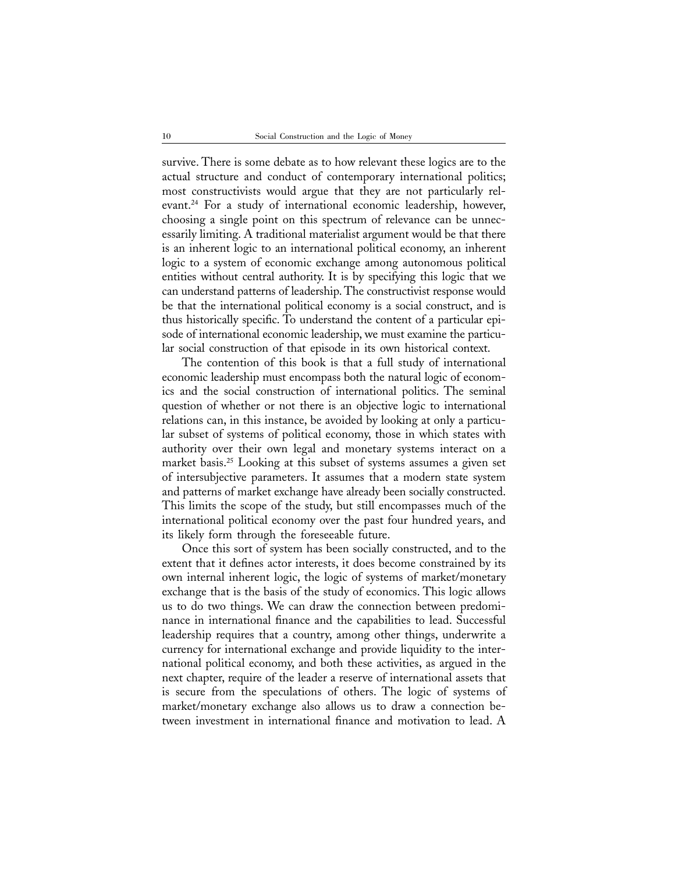survive. There is some debate as to how relevant these logics are to the actual structure and conduct of contemporary international politics; most constructivists would argue that they are not particularly relevant.24 For a study of international economic leadership, however, choosing a single point on this spectrum of relevance can be unnecessarily limiting. A traditional materialist argument would be that there is an inherent logic to an international political economy, an inherent logic to a system of economic exchange among autonomous political entities without central authority. It is by specifying this logic that we can understand patterns of leadership. The constructivist response would be that the international political economy is a social construct, and is thus historically specific. To understand the content of a particular episode of international economic leadership, we must examine the particular social construction of that episode in its own historical context.

The contention of this book is that a full study of international economic leadership must encompass both the natural logic of economics and the social construction of international politics. The seminal question of whether or not there is an objective logic to international relations can, in this instance, be avoided by looking at only a particular subset of systems of political economy, those in which states with authority over their own legal and monetary systems interact on a market basis.<sup>25</sup> Looking at this subset of systems assumes a given set of intersubjective parameters. It assumes that a modern state system and patterns of market exchange have already been socially constructed. This limits the scope of the study, but still encompasses much of the international political economy over the past four hundred years, and its likely form through the foreseeable future.

Once this sort of system has been socially constructed, and to the extent that it defines actor interests, it does become constrained by its own internal inherent logic, the logic of systems of market/monetary exchange that is the basis of the study of economics. This logic allows us to do two things. We can draw the connection between predominance in international finance and the capabilities to lead. Successful leadership requires that a country, among other things, underwrite a currency for international exchange and provide liquidity to the international political economy, and both these activities, as argued in the next chapter, require of the leader a reserve of international assets that is secure from the speculations of others. The logic of systems of market/monetary exchange also allows us to draw a connection between investment in international finance and motivation to lead. A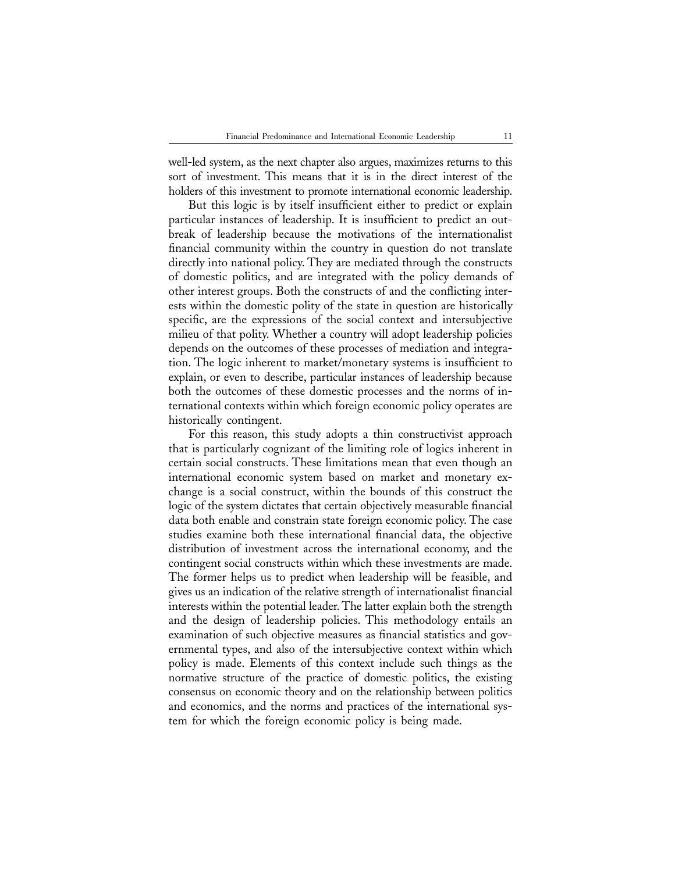well-led system, as the next chapter also argues, maximizes returns to this sort of investment. This means that it is in the direct interest of the holders of this investment to promote international economic leadership.

But this logic is by itself insufficient either to predict or explain particular instances of leadership. It is insufficient to predict an outbreak of leadership because the motivations of the internationalist financial community within the country in question do not translate directly into national policy. They are mediated through the constructs of domestic politics, and are integrated with the policy demands of other interest groups. Both the constructs of and the conflicting interests within the domestic polity of the state in question are historically specific, are the expressions of the social context and intersubjective milieu of that polity. Whether a country will adopt leadership policies depends on the outcomes of these processes of mediation and integration. The logic inherent to market/monetary systems is insufficient to explain, or even to describe, particular instances of leadership because both the outcomes of these domestic processes and the norms of international contexts within which foreign economic policy operates are historically contingent.

For this reason, this study adopts a thin constructivist approach that is particularly cognizant of the limiting role of logics inherent in certain social constructs. These limitations mean that even though an international economic system based on market and monetary exchange is a social construct, within the bounds of this construct the logic of the system dictates that certain objectively measurable financial data both enable and constrain state foreign economic policy. The case studies examine both these international financial data, the objective distribution of investment across the international economy, and the contingent social constructs within which these investments are made. The former helps us to predict when leadership will be feasible, and gives us an indication of the relative strength of internationalist financial interests within the potential leader. The latter explain both the strength and the design of leadership policies. This methodology entails an examination of such objective measures as financial statistics and governmental types, and also of the intersubjective context within which policy is made. Elements of this context include such things as the normative structure of the practice of domestic politics, the existing consensus on economic theory and on the relationship between politics and economics, and the norms and practices of the international system for which the foreign economic policy is being made.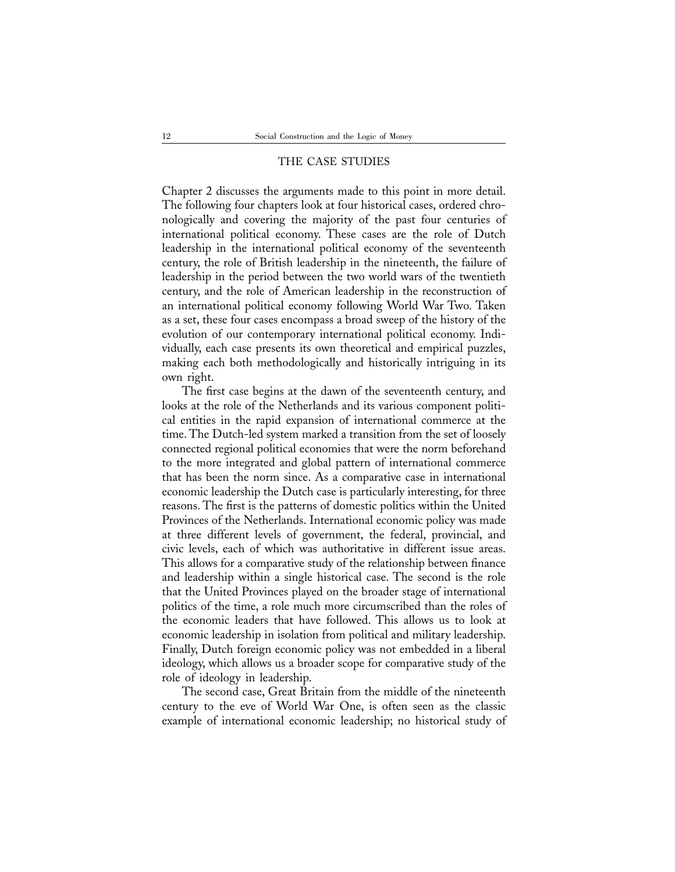#### THE CASE STUDIES

Chapter 2 discusses the arguments made to this point in more detail. The following four chapters look at four historical cases, ordered chronologically and covering the majority of the past four centuries of international political economy. These cases are the role of Dutch leadership in the international political economy of the seventeenth century, the role of British leadership in the nineteenth, the failure of leadership in the period between the two world wars of the twentieth century, and the role of American leadership in the reconstruction of an international political economy following World War Two. Taken as a set, these four cases encompass a broad sweep of the history of the evolution of our contemporary international political economy. Individually, each case presents its own theoretical and empirical puzzles, making each both methodologically and historically intriguing in its own right.

The first case begins at the dawn of the seventeenth century, and looks at the role of the Netherlands and its various component political entities in the rapid expansion of international commerce at the time. The Dutch-led system marked a transition from the set of loosely connected regional political economies that were the norm beforehand to the more integrated and global pattern of international commerce that has been the norm since. As a comparative case in international economic leadership the Dutch case is particularly interesting, for three reasons. The first is the patterns of domestic politics within the United Provinces of the Netherlands. International economic policy was made at three different levels of government, the federal, provincial, and civic levels, each of which was authoritative in different issue areas. This allows for a comparative study of the relationship between finance and leadership within a single historical case. The second is the role that the United Provinces played on the broader stage of international politics of the time, a role much more circumscribed than the roles of the economic leaders that have followed. This allows us to look at economic leadership in isolation from political and military leadership. Finally, Dutch foreign economic policy was not embedded in a liberal ideology, which allows us a broader scope for comparative study of the role of ideology in leadership.

The second case, Great Britain from the middle of the nineteenth century to the eve of World War One, is often seen as the classic example of international economic leadership; no historical study of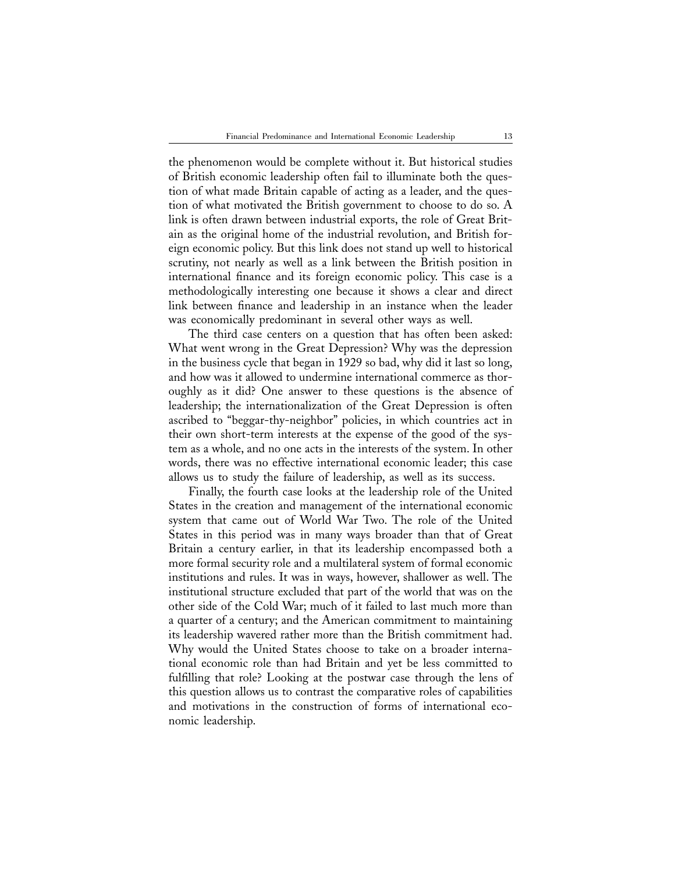the phenomenon would be complete without it. But historical studies of British economic leadership often fail to illuminate both the question of what made Britain capable of acting as a leader, and the question of what motivated the British government to choose to do so. A link is often drawn between industrial exports, the role of Great Britain as the original home of the industrial revolution, and British foreign economic policy. But this link does not stand up well to historical scrutiny, not nearly as well as a link between the British position in international finance and its foreign economic policy. This case is a methodologically interesting one because it shows a clear and direct link between finance and leadership in an instance when the leader was economically predominant in several other ways as well.

The third case centers on a question that has often been asked: What went wrong in the Great Depression? Why was the depression in the business cycle that began in 1929 so bad, why did it last so long, and how was it allowed to undermine international commerce as thoroughly as it did? One answer to these questions is the absence of leadership; the internationalization of the Great Depression is often ascribed to "beggar-thy-neighbor" policies, in which countries act in their own short-term interests at the expense of the good of the system as a whole, and no one acts in the interests of the system. In other words, there was no effective international economic leader; this case allows us to study the failure of leadership, as well as its success.

Finally, the fourth case looks at the leadership role of the United States in the creation and management of the international economic system that came out of World War Two. The role of the United States in this period was in many ways broader than that of Great Britain a century earlier, in that its leadership encompassed both a more formal security role and a multilateral system of formal economic institutions and rules. It was in ways, however, shallower as well. The institutional structure excluded that part of the world that was on the other side of the Cold War; much of it failed to last much more than a quarter of a century; and the American commitment to maintaining its leadership wavered rather more than the British commitment had. Why would the United States choose to take on a broader international economic role than had Britain and yet be less committed to fulfilling that role? Looking at the postwar case through the lens of this question allows us to contrast the comparative roles of capabilities and motivations in the construction of forms of international economic leadership.